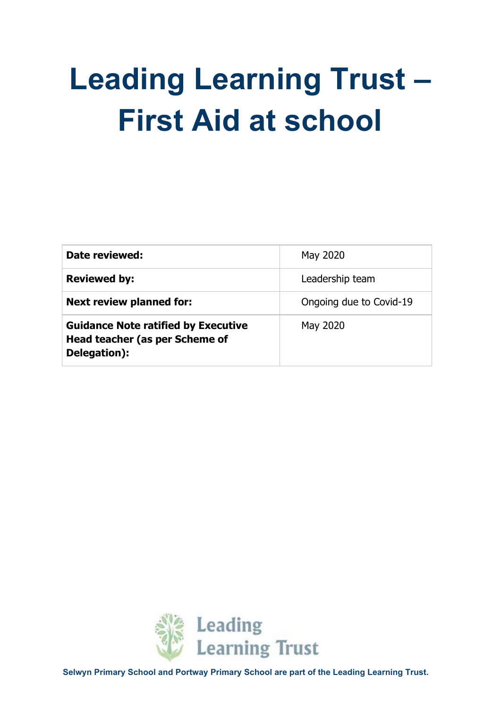# **Leading Learning Trust – First Aid at school**

| Date reviewed:                                                                               | May 2020                |
|----------------------------------------------------------------------------------------------|-------------------------|
| <b>Reviewed by:</b>                                                                          | Leadership team         |
| <b>Next review planned for:</b>                                                              | Ongoing due to Covid-19 |
| <b>Guidance Note ratified by Executive</b><br>Head teacher (as per Scheme of<br>Delegation): | May 2020                |

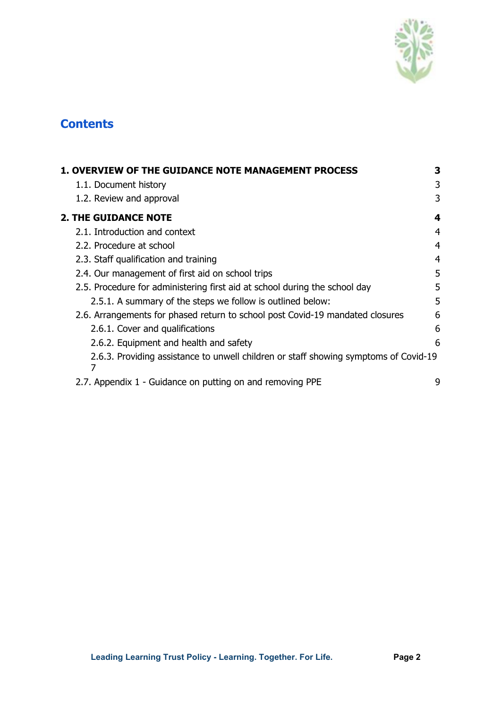

# **Contents**

| <b>1. OVERVIEW OF THE GUIDANCE NOTE MANAGEMENT PROCESS</b>                                | 3 |
|-------------------------------------------------------------------------------------------|---|
| 1.1. Document history                                                                     | 3 |
| 1.2. Review and approval                                                                  | 3 |
| <b>2. THE GUIDANCE NOTE</b>                                                               | 4 |
| 2.1. Introduction and context                                                             | 4 |
| 2.2. Procedure at school                                                                  | 4 |
| 2.3. Staff qualification and training                                                     | 4 |
| 2.4. Our management of first aid on school trips                                          | 5 |
| 2.5. Procedure for administering first aid at school during the school day                | 5 |
| 2.5.1. A summary of the steps we follow is outlined below:                                | 5 |
| 2.6. Arrangements for phased return to school post Covid-19 mandated closures             | 6 |
| 2.6.1. Cover and qualifications                                                           | 6 |
| 2.6.2. Equipment and health and safety                                                    | 6 |
| 2.6.3. Providing assistance to unwell children or staff showing symptoms of Covid-19<br>7 |   |
| 2.7. Appendix 1 - Guidance on putting on and removing PPE                                 | 9 |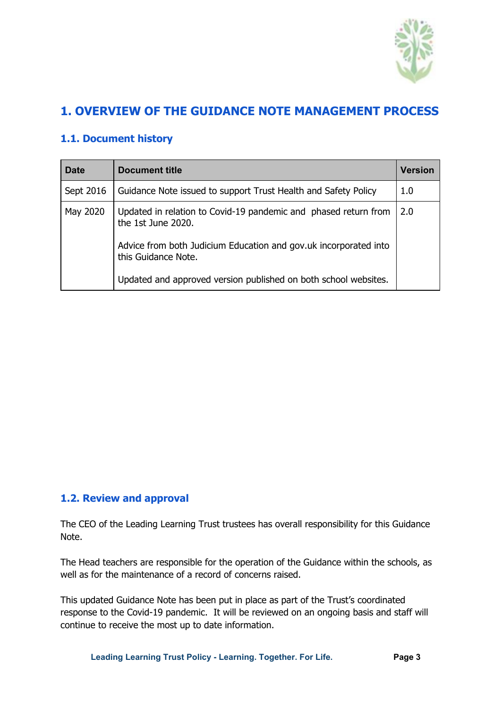

# <span id="page-2-0"></span>**1. OVERVIEW OF THE GUIDANCE NOTE MANAGEMENT PROCESS**

# <span id="page-2-1"></span>**1.1. Document history**

| <b>Date</b> | <b>Document title</b>                                                                   | Version |
|-------------|-----------------------------------------------------------------------------------------|---------|
| Sept 2016   | Guidance Note issued to support Trust Health and Safety Policy                          | 1.0     |
| May 2020    | Updated in relation to Covid-19 pandemic and phased return from<br>the 1st June 2020.   | 2.0     |
|             | Advice from both Judicium Education and gov.uk incorporated into<br>this Guidance Note. |         |
|             | Updated and approved version published on both school websites.                         |         |

#### **1.2. Review and approval**

The CEO of the Leading Learning Trust trustees has overall responsibility for this Guidance Note.

The Head teachers are responsible for the operation of the Guidance within the schools, as well as for the maintenance of a record of concerns raised.

This updated Guidance Note has been put in place as part of the Trust's coordinated response to the Covid-19 pandemic. It will be reviewed on an ongoing basis and staff will continue to receive the most up to date information.

**Leading Learning Trust Policy - Learning. Together. For Life. Page 3**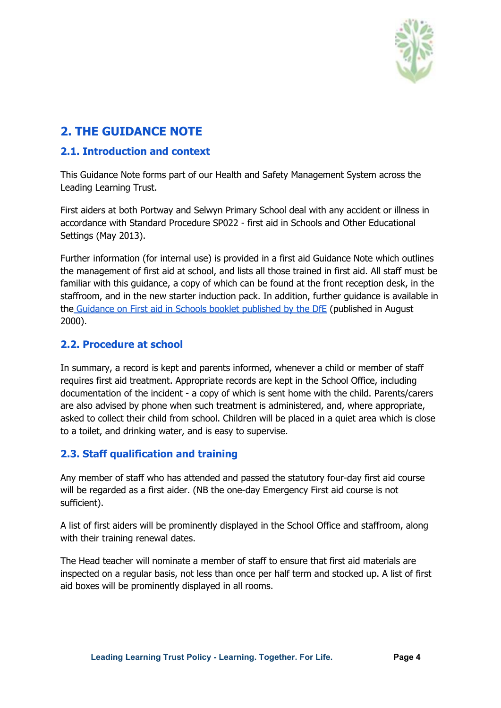

# <span id="page-3-0"></span>**2. THE GUIDANCE NOTE**

#### <span id="page-3-1"></span>**2.1. Introduction and context**

This Guidance Note forms part of our Health and Safety Management System across the Leading Learning Trust.

First aiders at both Portway and Selwyn Primary School deal with any accident or illness in accordance with Standard Procedure SP022 - first aid in Schools and Other Educational Settings (May 2013).

Further information (for internal use) is provided in a first aid Guidance Note which outlines the management of first aid at school, and lists all those trained in first aid. All staff must be familiar with this guidance, a copy of which can be found at the front reception desk, in the staffroom, and in the new starter induction pack. In addition, further guidance is available in the Guidance on First aid in Schools booklet [published](https://assets.publishing.service.gov.uk/government/uploads/system/uploads/attachment_data/file/306370/guidance_on_first_aid_for_schools.pdf) by the DfE (published in August 2000).

#### <span id="page-3-2"></span>**2.2. Procedure at school**

In summary, a record is kept and parents informed, whenever a child or member of staff requires first aid treatment. Appropriate records are kept in the School Office, including documentation of the incident - a copy of which is sent home with the child. Parents/carers are also advised by phone when such treatment is administered, and, where appropriate, asked to collect their child from school. Children will be placed in a quiet area which is close to a toilet, and drinking water, and is easy to supervise.

## <span id="page-3-3"></span>**2.3. Staff qualification and training**

Any member of staff who has attended and passed the statutory four-day first aid course will be regarded as a first aider. (NB the one-day Emergency First aid course is not sufficient).

A list of first aiders will be prominently displayed in the School Office and staffroom, along with their training renewal dates.

The Head teacher will nominate a member of staff to ensure that first aid materials are inspected on a regular basis, not less than once per half term and stocked up. A list of first aid boxes will be prominently displayed in all rooms.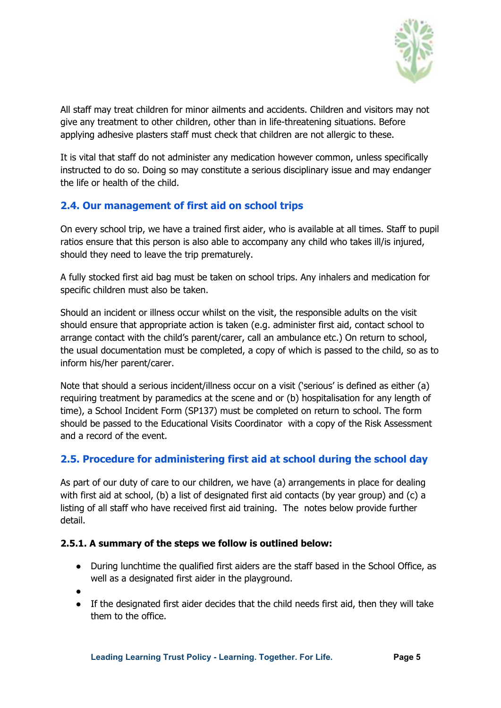

All staff may treat children for minor ailments and accidents. Children and visitors may not give any treatment to other children, other than in life-threatening situations. Before applying adhesive plasters staff must check that children are not allergic to these.

It is vital that staff do not administer any medication however common, unless specifically instructed to do so. Doing so may constitute a serious disciplinary issue and may endanger the life or health of the child.

# <span id="page-4-0"></span>**2.4. Our management of first aid on school trips**

On every school trip, we have a trained first aider, who is available at all times. Staff to pupil ratios ensure that this person is also able to accompany any child who takes ill/is injured, should they need to leave the trip prematurely.

A fully stocked first aid bag must be taken on school trips. Any inhalers and medication for specific children must also be taken.

Should an incident or illness occur whilst on the visit, the responsible adults on the visit should ensure that appropriate action is taken (e.g. administer first aid, contact school to arrange contact with the child's parent/carer, call an ambulance etc.) On return to school, the usual documentation must be completed, a copy of which is passed to the child, so as to inform his/her parent/carer.

Note that should a serious incident/illness occur on a visit ('serious' is defined as either (a) requiring treatment by paramedics at the scene and or (b) hospitalisation for any length of time), a School Incident Form (SP137) must be completed on return to school. The form should be passed to the Educational Visits Coordinator with a copy of the Risk Assessment and a record of the event.

## <span id="page-4-1"></span>**2.5. Procedure for administering first aid at school during the school day**

As part of our duty of care to our children, we have (a) arrangements in place for dealing with first aid at school, (b) a list of designated first aid contacts (by year group) and (c) a listing of all staff who have received first aid training. The notes below provide further detail.

#### <span id="page-4-2"></span>**2.5.1. A summary of the steps we follow is outlined below:**

- During lunchtime the qualified first aiders are the staff based in the School Office, as well as a designated first aider in the playground.
- ●
- If the designated first aider decides that the child needs first aid, then they will take them to the office.

**Leading Learning Trust Policy - Learning. Together. For Life. Page 5**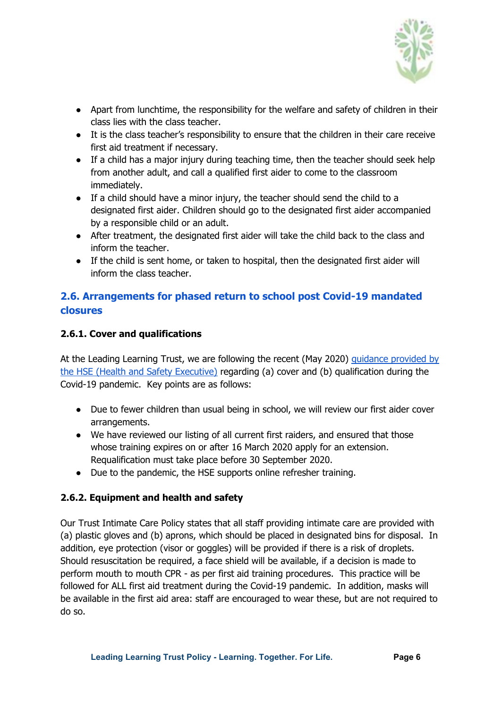

- Apart from lunchtime, the responsibility for the welfare and safety of children in their class lies with the class teacher.
- It is the class teacher's responsibility to ensure that the children in their care receive first aid treatment if necessary.
- If a child has a major injury during teaching time, then the teacher should seek help from another adult, and call a qualified first aider to come to the classroom immediately.
- If a child should have a minor injury, the teacher should send the child to a designated first aider. Children should go to the designated first aider accompanied by a responsible child or an adult.
- After treatment, the designated first aider will take the child back to the class and inform the teacher.
- If the child is sent home, or taken to hospital, then the designated first aider will inform the class teacher.

# <span id="page-5-0"></span>**2.6. Arrangements for phased return to school post Covid-19 mandated closures**

#### <span id="page-5-1"></span>**2.6.1. Cover and qualifications**

At the Leading Learning Trust, we are following the recent (May 2020) [guidance](https://www.hse.gov.uk/news/first-aid-certificate-coronavirus.htm) provided by the HSE (Health and Safety [Executive\)](https://www.hse.gov.uk/news/first-aid-certificate-coronavirus.htm) regarding (a) cover and (b) qualification during the Covid-19 pandemic. Key points are as follows:

- Due to fewer children than usual being in school, we will review our first aider cover arrangements.
- We have reviewed our listing of all current first raiders, and ensured that those whose training expires on or after 16 March 2020 apply for an extension. Requalification must take place before 30 September 2020.
- Due to the pandemic, the HSE supports online refresher training.

## <span id="page-5-2"></span>**2.6.2. Equipment and health and safety**

Our Trust Intimate Care Policy states that all staff providing intimate care are provided with (a) plastic gloves and (b) aprons, which should be placed in designated bins for disposal. In addition, eye protection (visor or goggles) will be provided if there is a risk of droplets. Should resuscitation be required, a face shield will be available, if a decision is made to perform mouth to mouth CPR - as per first aid training procedures. This practice will be followed for ALL first aid treatment during the Covid-19 pandemic. In addition, masks will be available in the first aid area: staff are encouraged to wear these, but are not required to do so.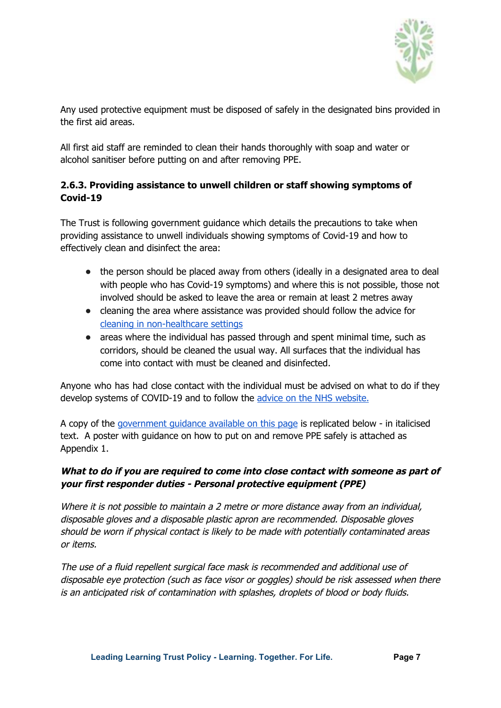

Any used protective equipment must be disposed of safely in the designated bins provided in the first aid areas.

All first aid staff are reminded to clean their hands thoroughly with soap and water or alcohol sanitiser before putting on and after removing PPE.

#### <span id="page-6-0"></span>**2.6.3. Providing assistance to unwell children or staff showing symptoms of Covid-19**

The Trust is following government guidance which details the precautions to take when providing assistance to unwell individuals showing symptoms of Covid-19 and how to effectively clean and disinfect the area:

- the person should be placed away from others (ideally in a designated area to deal with people who has Covid-19 symptoms) and where this is not possible, those not involved should be asked to leave the area or remain at least 2 metres away
- cleaning the area where assistance was provided should follow the advice for cleaning in [non-healthcare](https://www.gov.uk/government/publications/covid-19-decontamination-in-non-healthcare-settings) settings
- areas where the individual has passed through and spent minimal time, such as corridors, should be cleaned the usual way. All surfaces that the individual has come into contact with must be cleaned and disinfected.

Anyone who has had close contact with the individual must be advised on what to do if they develop systems of COVID-19 and to follow the advice on the NHS [website.](https://www.nhs.uk/conditions/coronavirus-covid-19/)

A copy of the [government](https://www.gov.uk/government/publications/novel-coronavirus-2019-ncov-interim-guidance-for-first-responders/interim-guidance-for-first-responders-and-others-in-close-contact-with-symptomatic-people-with-potential-2019-ncov#what-to-do-if-you-are-required-to-come-into-close-contact-with-someone-as-part-of-your-first-responder-duties) guidance available on this page is replicated below - in italicised text. A poster with guidance on how to put on and remove PPE safely is attached as Appendix 1.

#### **What to do if you are required to come into close contact with someone as part of your first responder duties - Personal protective equipment (PPE)**

Where it is not possible to maintain a 2 metre or more distance away from an individual, disposable gloves and <sup>a</sup> disposable plastic apron are recommended. Disposable gloves should be worn if physical contact is likely to be made with potentially contaminated areas or items.

The use of <sup>a</sup> fluid repellent surgical face mask is recommended and additional use of disposable eye protection (such as face visor or goggles) should be risk assessed when there is an anticipated risk of contamination with splashes, droplets of blood or body fluids.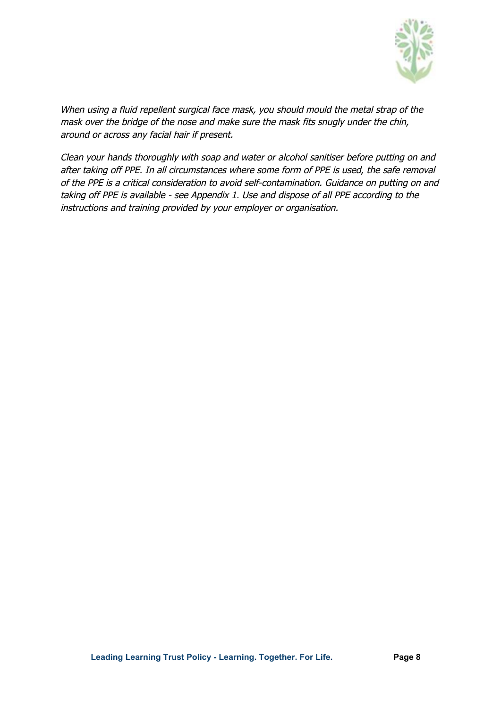

When using a fluid repellent surgical face mask, you should mould the metal strap of the mask over the bridge of the nose and make sure the mask fits snugly under the chin, around or across any facial hair if present.

Clean your hands thoroughly with soap and water or alcohol sanitiser before putting on and after taking off PPE. In all circumstances where some form of PPE is used, the safe removal of the PPE is <sup>a</sup> critical consideration to avoid self-contamination. Guidance on putting on and taking off PPE is available - see Appendix 1. Use and dispose of all PPE according to the instructions and training provided by your employer or organisation.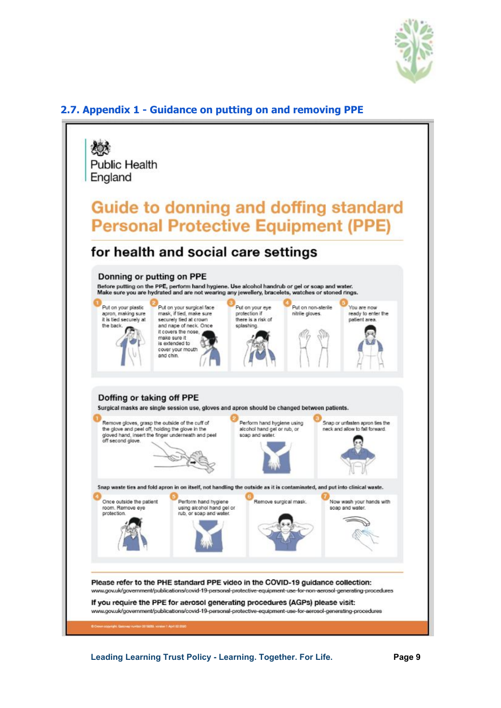

#### <span id="page-8-0"></span>**2.7. Appendix 1 - Guidance on putting on and removing PPE**



**Leading Learning Trust Policy - Learning. Together. For Life. Page 9**